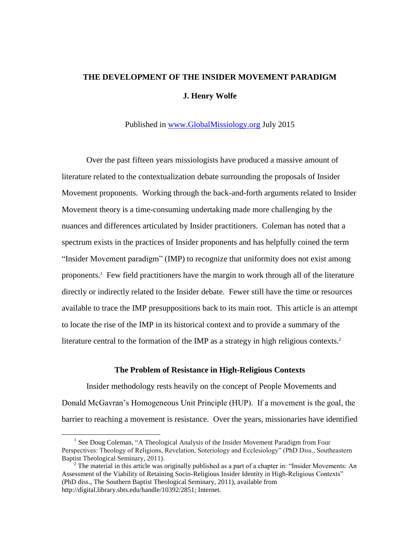# **THE DEVELOPMENT OF THE INSIDER MOVEMENT PARADIGM J. Henry Wolfe**

Published in [www.GlobalMissiology.org](http://www.globalmissiology.org/) July 2015

Over the past fifteen years missiologists have produced a massive amount of literature related to the contextualization debate surrounding the proposals of Insider Movement proponents. Working through the back-and-forth arguments related to Insider Movement theory is a time-consuming undertaking made more challenging by the nuances and differences articulated by Insider practitioners. Coleman has noted that a spectrum exists in the practices of Insider proponents and has helpfully coined the term "Insider Movement paradigm" (IMP) to recognize that uniformity does not exist among proponents. 1 Few field practitioners have the margin to work through all of the literature directly or indirectly related to the Insider debate. Fewer still have the time or resources available to trace the IMP presuppositions back to its main root. This article is an attempt to locate the rise of the IMP in its historical context and to provide a summary of the literature central to the formation of the IMP as a strategy in high religious contexts.<sup>2</sup>

#### **The Problem of Resistance in High-Religious Contexts**

Insider methodology rests heavily on the concept of People Movements and Donald McGavran's Homogeneous Unit Principle (HUP). If a movement is the goal, the barrier to reaching a movement is resistance. Over the years, missionaries have identified

<sup>&</sup>lt;sup>1</sup> See Doug Coleman, "A Theological Analysis of the Insider Movement Paradigm from Four Perspectives: Theology of Religions, Revelation, Soteriology and Ecclesiology" (PhD Diss., Southeastern Baptist Theological Seminary, 2011).

 $2$  The material in this article was originally published as a part of a chapter in: "Insider Movements: An Assessment of the Viability of Retaining Socio-Religious Insider Identity in High-Religious Contexts" (PhD diss., The Southern Baptist Theological Seminary, 2011), available from http://digital.library.sbts.edu/handle/10392/2851; Internet.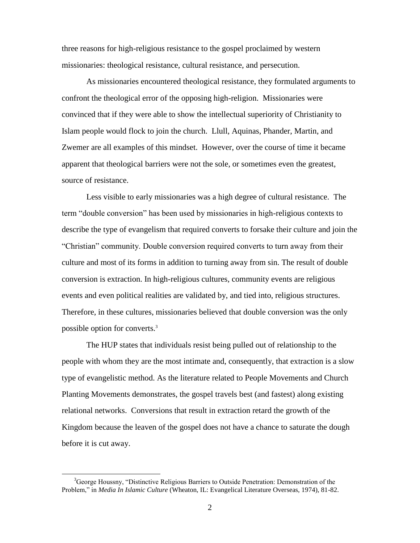three reasons for high-religious resistance to the gospel proclaimed by western missionaries: theological resistance, cultural resistance, and persecution.

As missionaries encountered theological resistance, they formulated arguments to confront the theological error of the opposing high-religion. Missionaries were convinced that if they were able to show the intellectual superiority of Christianity to Islam people would flock to join the church. Llull, Aquinas, Phander, Martin, and Zwemer are all examples of this mindset. However, over the course of time it became apparent that theological barriers were not the sole, or sometimes even the greatest, source of resistance.

Less visible to early missionaries was a high degree of cultural resistance. The term "double conversion" has been used by missionaries in high-religious contexts to describe the type of evangelism that required converts to forsake their culture and join the "Christian" community. Double conversion required converts to turn away from their culture and most of its forms in addition to turning away from sin. The result of double conversion is extraction. In high-religious cultures, community events are religious events and even political realities are validated by, and tied into, religious structures. Therefore, in these cultures, missionaries believed that double conversion was the only possible option for converts.<sup>3</sup>

The HUP states that individuals resist being pulled out of relationship to the people with whom they are the most intimate and, consequently, that extraction is a slow type of evangelistic method. As the literature related to People Movements and Church Planting Movements demonstrates, the gospel travels best (and fastest) along existing relational networks. Conversions that result in extraction retard the growth of the Kingdom because the leaven of the gospel does not have a chance to saturate the dough before it is cut away.

 $3G$  George Houssny, "Distinctive Religious Barriers to Outside Penetration: Demonstration of the Problem," in *Media In Islamic Culture* (Wheaton, IL: Evangelical Literature Overseas, 1974), 81-82.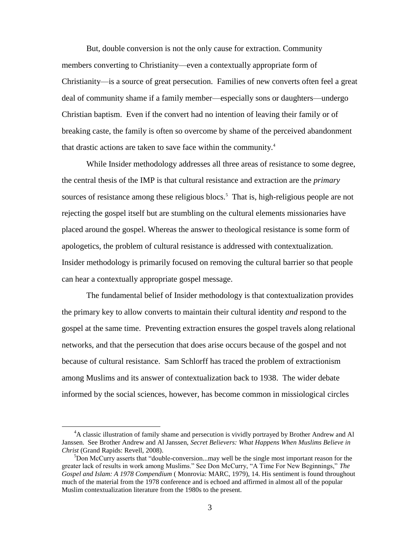But, double conversion is not the only cause for extraction. Community members converting to Christianity—even a contextually appropriate form of Christianity—is a source of great persecution. Families of new converts often feel a great deal of community shame if a family member—especially sons or daughters—undergo Christian baptism. Even if the convert had no intention of leaving their family or of breaking caste, the family is often so overcome by shame of the perceived abandonment that drastic actions are taken to save face within the community.<sup>4</sup>

While Insider methodology addresses all three areas of resistance to some degree, the central thesis of the IMP is that cultural resistance and extraction are the *primary*  sources of resistance among these religious blocs.<sup>5</sup> That is, high-religious people are not rejecting the gospel itself but are stumbling on the cultural elements missionaries have placed around the gospel. Whereas the answer to theological resistance is some form of apologetics, the problem of cultural resistance is addressed with contextualization. Insider methodology is primarily focused on removing the cultural barrier so that people can hear a contextually appropriate gospel message.

The fundamental belief of Insider methodology is that contextualization provides the primary key to allow converts to maintain their cultural identity *and* respond to the gospel at the same time. Preventing extraction ensures the gospel travels along relational networks, and that the persecution that does arise occurs because of the gospel and not because of cultural resistance. Sam Schlorff has traced the problem of extractionism among Muslims and its answer of contextualization back to 1938. The wider debate informed by the social sciences, however, has become common in missiological circles

<sup>&</sup>lt;sup>4</sup>A classic illustration of family shame and persecution is vividly portrayed by Brother Andrew and Al Janssen. See Brother Andrew and Al Janssen, *Secret Believers: What Happens When Muslims Believe in Christ* (Grand Rapids: Revell, 2008).

 $5$ Don McCurry asserts that "double-conversion...may well be the single most important reason for the greater lack of results in work among Muslims." See Don McCurry, "A Time For New Beginnings," *The Gospel and Islam: A 1978 Compendium* ( Monrovia: MARC, 1979), 14. His sentiment is found throughout much of the material from the 1978 conference and is echoed and affirmed in almost all of the popular Muslim contextualization literature from the 1980s to the present.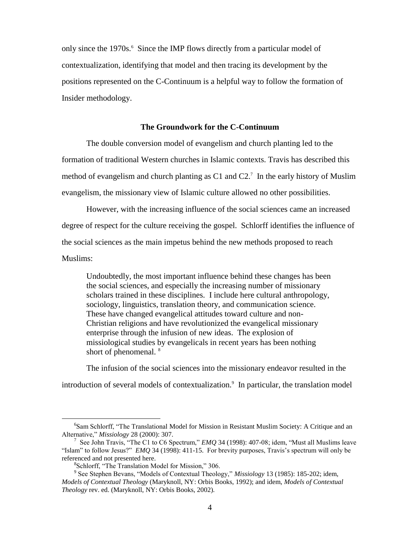only since the 1970s.<sup>6</sup> Since the IMP flows directly from a particular model of contextualization, identifying that model and then tracing its development by the positions represented on the C-Continuum is a helpful way to follow the formation of Insider methodology.

#### **The Groundwork for the C-Continuum**

The double conversion model of evangelism and church planting led to the formation of traditional Western churches in Islamic contexts. Travis has described this method of evangelism and church planting as C1 and  $C2$ .<sup>7</sup> In the early history of Muslim evangelism, the missionary view of Islamic culture allowed no other possibilities.

However, with the increasing influence of the social sciences came an increased degree of respect for the culture receiving the gospel. Schlorff identifies the influence of the social sciences as the main impetus behind the new methods proposed to reach Muslims:

Undoubtedly, the most important influence behind these changes has been the social sciences, and especially the increasing number of missionary scholars trained in these disciplines. I include here cultural anthropology, sociology, linguistics, translation theory, and communication science. These have changed evangelical attitudes toward culture and non-Christian religions and have revolutionized the evangelical missionary enterprise through the infusion of new ideas. The explosion of missiological studies by evangelicals in recent years has been nothing short of phenomenal.<sup>8</sup>

The infusion of the social sciences into the missionary endeavor resulted in the introduction of several models of contextualization.<sup>9</sup> In particular, the translation model

<sup>&</sup>lt;sup>6</sup>Sam Schlorff, "The Translational Model for Mission in Resistant Muslim Society: A Critique and an Alternative," *Missiology* 28 (2000): 307.

<sup>7</sup> See John Travis, "The C1 to C6 Spectrum," *EMQ* 34 (1998): 407-08; idem, "Must all Muslims leave "Islam" to follow Jesus?" *EMQ* 34 (1998): 411-15. For brevity purposes, Travis's spectrum will only be referenced and not presented here.

<sup>8</sup> Schlorff, "The Translation Model for Mission," 306.

<sup>9</sup> See Stephen Bevans, "Models of Contextual Theology," *Missiology* 13 (1985): 185-202; idem, *Models of Contextual Theology* (Maryknoll, NY: Orbis Books, 1992); and idem, *Models of Contextual Theology* rev. ed. (Maryknoll, NY: Orbis Books, 2002).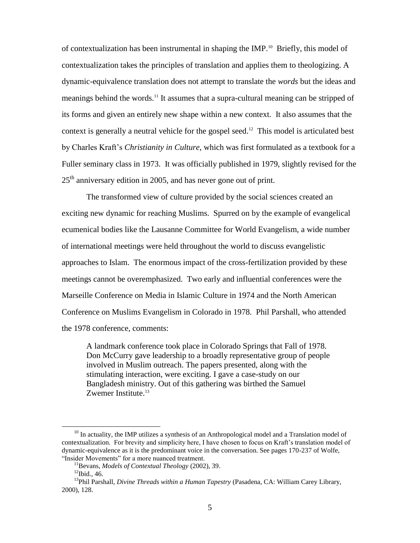of contextualization has been instrumental in shaping the IMP.<sup>10</sup> Briefly, this model of contextualization takes the principles of translation and applies them to theologizing. A dynamic-equivalence translation does not attempt to translate the *words* but the ideas and meanings behind the words.<sup>11</sup> It assumes that a supra-cultural meaning can be stripped of its forms and given an entirely new shape within a new context. It also assumes that the context is generally a neutral vehicle for the gospel seed.<sup>12</sup> This model is articulated best by Charles Kraft's *Christianity in Culture*, which was first formulated as a textbook for a Fuller seminary class in 1973. It was officially published in 1979, slightly revised for the  $25<sup>th</sup>$  anniversary edition in 2005, and has never gone out of print.

The transformed view of culture provided by the social sciences created an exciting new dynamic for reaching Muslims. Spurred on by the example of evangelical ecumenical bodies like the Lausanne Committee for World Evangelism, a wide number of international meetings were held throughout the world to discuss evangelistic approaches to Islam. The enormous impact of the cross-fertilization provided by these meetings cannot be overemphasized. Two early and influential conferences were the Marseille Conference on Media in Islamic Culture in 1974 and the North American Conference on Muslims Evangelism in Colorado in 1978. Phil Parshall, who attended the 1978 conference, comments:

A landmark conference took place in Colorado Springs that Fall of 1978. Don McCurry gave leadership to a broadly representative group of people involved in Muslim outreach. The papers presented, along with the stimulating interaction, were exciting. I gave a case-study on our Bangladesh ministry. Out of this gathering was birthed the Samuel Zwemer Institute. $13$ 

 $10$  In actuality, the IMP utilizes a synthesis of an Anthropological model and a Translation model of contextualization. For brevity and simplicity here, I have chosen to focus on Kraft's translation model of dynamic-equivalence as it is the predominant voice in the conversation. See pages 170-237 of Wolfe, "Insider Movements" for a more nuanced treatment.

<sup>11</sup>Bevans, *Models of Contextual Theology* (2002), 39.

 $12$ Ibid., 46.

<sup>&</sup>lt;sup>13</sup>Phil Parshall, *Divine Threads within a Human Tapestry* (Pasadena, CA: William Carey Library, 2000), 128.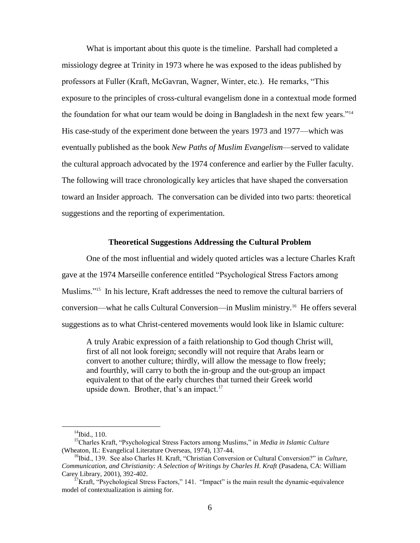What is important about this quote is the timeline. Parshall had completed a missiology degree at Trinity in 1973 where he was exposed to the ideas published by professors at Fuller (Kraft, McGavran, Wagner, Winter, etc.). He remarks, "This exposure to the principles of cross-cultural evangelism done in a contextual mode formed the foundation for what our team would be doing in Bangladesh in the next few years."<sup>14</sup> His case-study of the experiment done between the years 1973 and 1977—which was eventually published as the book *New Paths of Muslim Evangelism*—served to validate the cultural approach advocated by the 1974 conference and earlier by the Fuller faculty. The following will trace chronologically key articles that have shaped the conversation toward an Insider approach. The conversation can be divided into two parts: theoretical suggestions and the reporting of experimentation.

#### **Theoretical Suggestions Addressing the Cultural Problem**

One of the most influential and widely quoted articles was a lecture Charles Kraft gave at the 1974 Marseille conference entitled "Psychological Stress Factors among Muslims."<sup>15</sup> In his lecture, Kraft addresses the need to remove the cultural barriers of conversion—what he calls Cultural Conversion—in Muslim ministry.<sup>16</sup> He offers several suggestions as to what Christ-centered movements would look like in Islamic culture:

A truly Arabic expression of a faith relationship to God though Christ will, first of all not look foreign; secondly will not require that Arabs learn or convert to another culture; thirdly, will allow the message to flow freely; and fourthly, will carry to both the in-group and the out-group an impact equivalent to that of the early churches that turned their Greek world upside down. Brother, that's an impact. $17$ 

 $14$ Ibid., 110.

<sup>15</sup>Charles Kraft, "Psychological Stress Factors among Muslims," in *Media in Islamic Culture*  (Wheaton, IL: Evangelical Literature Overseas, 1974), 137-44.

<sup>16</sup>Ibid., 139. See also Charles H. Kraft, "Christian Conversion or Cultural Conversion?" in *Culture, Communication, and Christianity: A Selection of Writings by Charles H. Kraft (Pasadena, CA: William* Carey Library, 2001), 392-402.

 $17$ Kraft, "Psychological Stress Factors," 141. "Impact" is the main result the dynamic-equivalence model of contextualization is aiming for.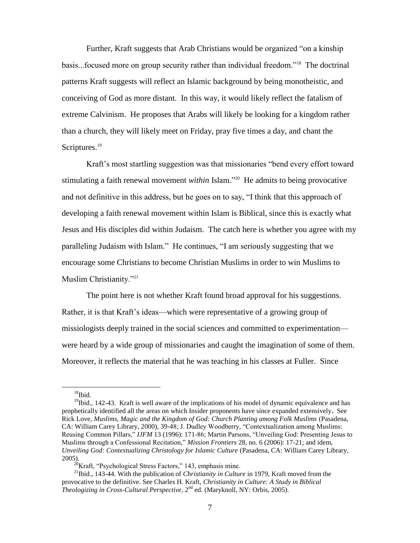Further, Kraft suggests that Arab Christians would be organized "on a kinship basis...focused more on group security rather than individual freedom."<sup>18</sup> The doctrinal patterns Kraft suggests will reflect an Islamic background by being monotheistic, and conceiving of God as more distant. In this way, it would likely reflect the fatalism of extreme Calvinism. He proposes that Arabs will likely be looking for a kingdom rather than a church, they will likely meet on Friday, pray five times a day, and chant the Scriptures.<sup>19</sup>

Kraft's most startling suggestion was that missionaries "bend every effort toward stimulating a faith renewal movement *within* Islam."<sup>20</sup> He admits to being provocative and not definitive in this address, but he goes on to say, "I think that this approach of developing a faith renewal movement within Islam is Biblical, since this is exactly what Jesus and His disciples did within Judaism. The catch here is whether you agree with my paralleling Judaism with Islam." He continues, "I am seriously suggesting that we encourage some Christians to become Christian Muslims in order to win Muslims to Muslim Christianity."<sup>21</sup>

The point here is not whether Kraft found broad approval for his suggestions. Rather, it is that Kraft's ideas—which were representative of a growing group of missiologists deeply trained in the social sciences and committed to experimentation were heard by a wide group of missionaries and caught the imagination of some of them. Moreover, it reflects the material that he was teaching in his classes at Fuller. Since

 $^{18}\mathrm{Ibid.}$ 

 $<sup>19</sup>$ Ibid., 142-43. Kraft is well aware of the implications of his model of dynamic equivalence and has</sup> prophetically identified all the areas on which Insider proponents have since expanded extensively**.** See Rick Love, *Muslims, Magic and the Kingdom of God: Church Planting among Folk Muslims* (Pasadena, CA: William Carey Library, 2000), 39-48; J. Dudley Woodberry, "Contextualization among Muslims: Reusing Common Pillars," *IJFM* 13 (1996): 171-86; Martin Parsons, "Unveiling God: Presenting Jesus to Muslims through a Confessional Recitation," *Mission Frontiers* 28, no*.* 6 (2006): 17-21; and idem, *Unveiling God: Contextualizing Christology for Islamic Culture* (Pasadena, CA: William Carey Library, 2005).

 $^{20}$ Kraft, "Psychological Stress Factors," 143, emphasis mine.

<sup>21</sup>Ibid., 143-44. With the publication of *Christianity in Culture* in 1979, Kraft moved from the provocative to the definitive. See Charles H. Kraft, *Christianity in Culture: A Study in Biblical Theologizing in Cross-Cultural Perspective*, 2<sup>nd</sup> ed. (Maryknoll, NY: Orbis, 2005).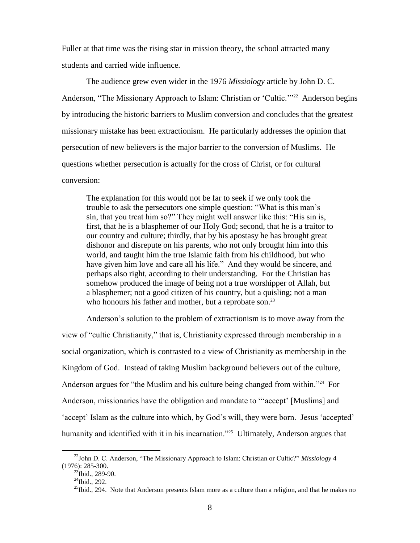Fuller at that time was the rising star in mission theory, the school attracted many students and carried wide influence.

The audience grew even wider in the 1976 *Missiology* article by John D. C. Anderson, "The Missionary Approach to Islam: Christian or 'Cultic.'"<sup>22</sup> Anderson begins by introducing the historic barriers to Muslim conversion and concludes that the greatest missionary mistake has been extractionism. He particularly addresses the opinion that persecution of new believers is the major barrier to the conversion of Muslims. He questions whether persecution is actually for the cross of Christ, or for cultural conversion:

The explanation for this would not be far to seek if we only took the trouble to ask the persecutors one simple question: "What is this man's sin, that you treat him so?" They might well answer like this: "His sin is, first, that he is a blasphemer of our Holy God; second, that he is a traitor to our country and culture; thirdly, that by his apostasy he has brought great dishonor and disrepute on his parents, who not only brought him into this world, and taught him the true Islamic faith from his childhood, but who have given him love and care all his life." And they would be sincere, and perhaps also right, according to their understanding. For the Christian has somehow produced the image of being not a true worshipper of Allah, but a blasphemer; not a good citizen of his country, but a quisling; not a man who honours his father and mother, but a reprobate son.<sup>23</sup>

Anderson's solution to the problem of extractionism is to move away from the view of "cultic Christianity," that is, Christianity expressed through membership in a social organization, which is contrasted to a view of Christianity as membership in the Kingdom of God. Instead of taking Muslim background believers out of the culture, Anderson argues for "the Muslim and his culture being changed from within."<sup>24</sup> For Anderson, missionaries have the obligation and mandate to "'accept' [Muslims] and 'accept' Islam as the culture into which, by God's will, they were born. Jesus 'accepted' humanity and identified with it in his incarnation."<sup>25</sup> Ultimately, Anderson argues that

<sup>22</sup>John D. C. Anderson, "The Missionary Approach to Islam: Christian or Cultic?" *Missiology* 4 (1976): 285-300.

 $^{23}$ Ibid., 289-90.

 $^{24}$ Ibid., 292.

 $^{25}$ Ibid., 294. Note that Anderson presents Islam more as a culture than a religion, and that he makes no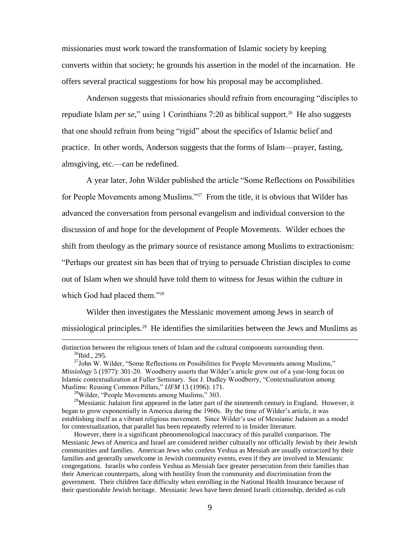missionaries must work toward the transformation of Islamic society by keeping converts within that society; he grounds his assertion in the model of the incarnation. He offers several practical suggestions for how his proposal may be accomplished.

Anderson suggests that missionaries should refrain from encouraging "disciples to repudiate Islam *per se*," using 1 Corinthians 7:20 as biblical support.<sup>26</sup> He also suggests that one should refrain from being "rigid" about the specifics of Islamic belief and practice. In other words, Anderson suggests that the forms of Islam—prayer, fasting, almsgiving, etc.—can be redefined.

A year later, John Wilder published the article "Some Reflections on Possibilities for People Movements among Muslims."<sup>27</sup> From the title, it is obvious that Wilder has advanced the conversation from personal evangelism and individual conversion to the discussion of and hope for the development of People Movements. Wilder echoes the shift from theology as the primary source of resistance among Muslims to extractionism: "Perhaps our greatest sin has been that of trying to persuade Christian disciples to come out of Islam when we should have told them to witness for Jesus within the culture in which God had placed them."<sup>28</sup>

Wilder then investigates the Messianic movement among Jews in search of missiological principles.<sup>29</sup> He identifies the similarities between the Jews and Muslims as

distinction between the religious tenets of Islam and the cultural components surrounding them.  $^{26}$ Ibid., 295.

<sup>&</sup>lt;sup>27</sup>John W. Wilder, "Some Reflections on Possibilities for People Movements among Muslims," *Missiology* 5 (1977): 301-20. Woodberry asserts that Wilder's article grew out of a year-long focus on Islamic contextualization at Fuller Seminary. See J. Dudley Woodberry, "Contextualization among Muslims: Reusing Common Pillars," *IJFM* 13 (1996): 171.

 $^{28}$ Wilder, "People Movements among Muslims," 303.

 $2<sup>9</sup>$ Messianic Judaism first appeared in the latter part of the nineteenth century in England. However, it began to grow exponentially in America during the 1960s. By the time of Wilder's article, it was establishing itself as a vibrant religious movement. Since Wilder's use of Messianic Judaism as a model for contextualization, that parallel has been repeatedly referred to in Insider literature.

However, there is a significant phenomenological inaccuracy of this parallel comparison. The Messianic Jews of America and Israel are considered neither culturally nor officially Jewish by their Jewish communities and families. American Jews who confess Yeshua as Messiah are usually ostracized by their families and generally unwelcome in Jewish community events, even if they are involved in Messianic congregations. Israelis who confess Yeshua as Messiah face greater persecution from their families than their American counterparts, along with hostility from the community and discrimination from the government. Their children face difficulty when enrolling in the National Health Insurance because of their questionable Jewish heritage. Messianic Jews have been denied Israeli citizenship, derided as cult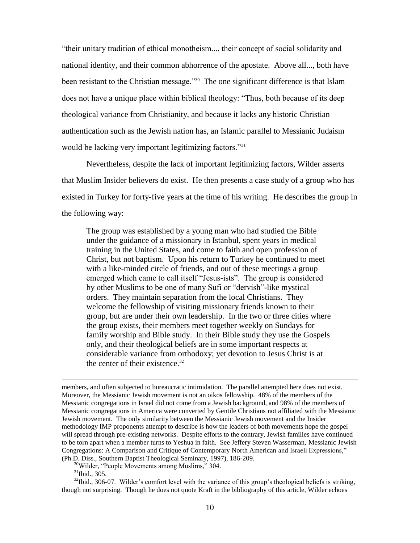"their unitary tradition of ethical monotheism..., their concept of social solidarity and national identity, and their common abhorrence of the apostate. Above all..., both have been resistant to the Christian message."<sup>30</sup> The one significant difference is that Islam does not have a unique place within biblical theology: "Thus, both because of its deep theological variance from Christianity, and because it lacks any historic Christian authentication such as the Jewish nation has, an Islamic parallel to Messianic Judaism would be lacking very important legitimizing factors."<sup>31</sup>

Nevertheless, despite the lack of important legitimizing factors, Wilder asserts that Muslim Insider believers do exist. He then presents a case study of a group who has existed in Turkey for forty-five years at the time of his writing. He describes the group in the following way:

The group was established by a young man who had studied the Bible under the guidance of a missionary in Istanbul, spent years in medical training in the United States, and come to faith and open profession of Christ, but not baptism. Upon his return to Turkey he continued to meet with a like-minded circle of friends, and out of these meetings a group emerged which came to call itself "Jesus-ists". The group is considered by other Muslims to be one of many Sufi or "dervish"-like mystical orders. They maintain separation from the local Christians. They welcome the fellowship of visiting missionary friends known to their group, but are under their own leadership. In the two or three cities where the group exists, their members meet together weekly on Sundays for family worship and Bible study. In their Bible study they use the Gospels only, and their theological beliefs are in some important respects at considerable variance from orthodoxy; yet devotion to Jesus Christ is at the center of their existence. $32$ 

members, and often subjected to bureaucratic intimidation. The parallel attempted here does not exist. Moreover, the Messianic Jewish movement is not an oikos fellowship. 48% of the members of the Messianic congregations in Israel did not come from a Jewish background, and 98% of the members of Messianic congregations in America were converted by Gentile Christians not affiliated with the Messianic Jewish movement. The only similarity between the Messianic Jewish movement and the Insider methodology IMP proponents attempt to describe is how the leaders of both movements hope the gospel will spread through pre-existing networks. Despite efforts to the contrary, Jewish families have continued to be torn apart when a member turns to Yeshua in faith. See Jeffery Steven Wasserman, Messianic Jewish Congregations: A Comparison and Critique of Contemporary North American and Israeli Expressions," (Ph.D. Diss., Southern Baptist Theological Seminary, 1997), 186-209.

<sup>30</sup>Wilder, "People Movements among Muslims," 304.

 $31$ Ibid., 305.

<sup>&</sup>lt;sup>32</sup>Ibid., 306-07. Wilder's comfort level with the variance of this group's theological beliefs is striking, though not surprising. Though he does not quote Kraft in the bibliography of this article, Wilder echoes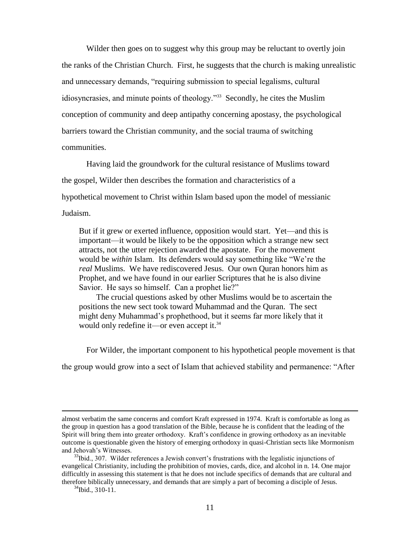Wilder then goes on to suggest why this group may be reluctant to overtly join the ranks of the Christian Church. First, he suggests that the church is making unrealistic and unnecessary demands, "requiring submission to special legalisms, cultural idiosyncrasies, and minute points of theology."<sup>33</sup> Secondly, he cites the Muslim conception of community and deep antipathy concerning apostasy, the psychological barriers toward the Christian community, and the social trauma of switching communities.

Having laid the groundwork for the cultural resistance of Muslims toward the gospel, Wilder then describes the formation and characteristics of a hypothetical movement to Christ within Islam based upon the model of messianic Judaism.

But if it grew or exerted influence, opposition would start. Yet—and this is important—it would be likely to be the opposition which a strange new sect attracts, not the utter rejection awarded the apostate. For the movement would be *within* Islam. Its defenders would say something like "We're the *real* Muslims. We have rediscovered Jesus. Our own Quran honors him as Prophet, and we have found in our earlier Scriptures that he is also divine Savior. He says so himself. Can a prophet lie?"

The crucial questions asked by other Muslims would be to ascertain the positions the new sect took toward Muhammad and the Quran. The sect might deny Muhammad's prophethood, but it seems far more likely that it would only redefine it—or even accept it.<sup>34</sup>

For Wilder, the important component to his hypothetical people movement is that

the group would grow into a sect of Islam that achieved stability and permanence: "After

almost verbatim the same concerns and comfort Kraft expressed in 1974. Kraft is comfortable as long as the group in question has a good translation of the Bible, because he is confident that the leading of the Spirit will bring them into greater orthodoxy. Kraft's confidence in growing orthodoxy as an inevitable outcome is questionable given the history of emerging orthodoxy in quasi-Christian sects like Mormonism and Jehovah's Witnesses.

 $33$ Ibid., 307. Wilder references a Jewish convert's frustrations with the legalistic injunctions of evangelical Christianity, including the prohibition of movies, cards, dice, and alcohol in n. 14. One major difficultly in assessing this statement is that he does not include specifics of demands that are cultural and therefore biblically unnecessary, and demands that are simply a part of becoming a disciple of Jesus.

 $34$ Ibid., 310-11.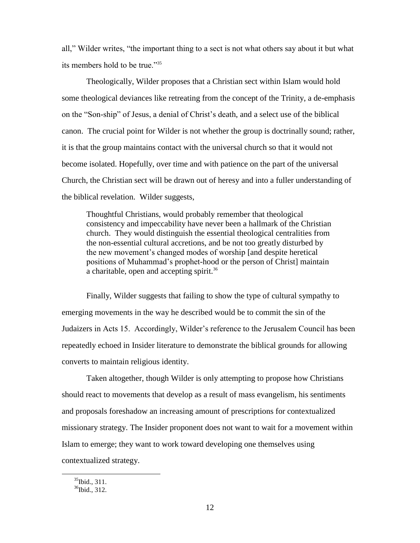all," Wilder writes, "the important thing to a sect is not what others say about it but what its members hold to be true."<sup>35</sup>

Theologically, Wilder proposes that a Christian sect within Islam would hold some theological deviances like retreating from the concept of the Trinity, a de-emphasis on the "Son-ship" of Jesus, a denial of Christ's death, and a select use of the biblical canon. The crucial point for Wilder is not whether the group is doctrinally sound; rather, it is that the group maintains contact with the universal church so that it would not become isolated. Hopefully, over time and with patience on the part of the universal Church, the Christian sect will be drawn out of heresy and into a fuller understanding of the biblical revelation. Wilder suggests,

Thoughtful Christians, would probably remember that theological consistency and impeccability have never been a hallmark of the Christian church. They would distinguish the essential theological centralities from the non-essential cultural accretions, and be not too greatly disturbed by the new movement's changed modes of worship [and despite heretical positions of Muhammad's prophet-hood or the person of Christ] maintain a charitable, open and accepting spirit.<sup>36</sup>

Finally, Wilder suggests that failing to show the type of cultural sympathy to emerging movements in the way he described would be to commit the sin of the Judaizers in Acts 15. Accordingly, Wilder's reference to the Jerusalem Council has been repeatedly echoed in Insider literature to demonstrate the biblical grounds for allowing converts to maintain religious identity.

Taken altogether, though Wilder is only attempting to propose how Christians should react to movements that develop as a result of mass evangelism, his sentiments and proposals foreshadow an increasing amount of prescriptions for contextualized missionary strategy. The Insider proponent does not want to wait for a movement within Islam to emerge; they want to work toward developing one themselves using contextualized strategy.

 $35$ Ibid., 311.

 $36$ Ibid., 312.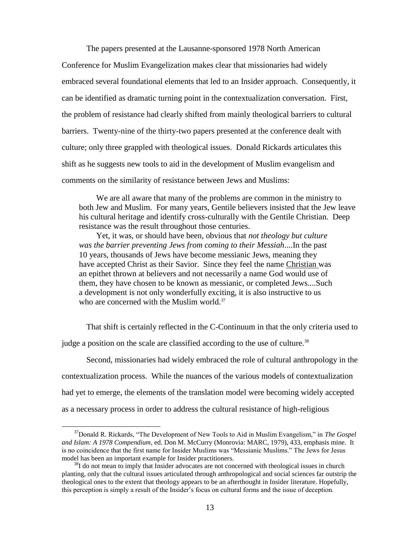The papers presented at the Lausanne-sponsored 1978 North American

Conference for Muslim Evangelization makes clear that missionaries had widely embraced several foundational elements that led to an Insider approach. Consequently, it can be identified as dramatic turning point in the contextualization conversation. First, the problem of resistance had clearly shifted from mainly theological barriers to cultural barriers. Twenty-nine of the thirty-two papers presented at the conference dealt with culture; only three grappled with theological issues. Donald Rickards articulates this shift as he suggests new tools to aid in the development of Muslim evangelism and comments on the similarity of resistance between Jews and Muslims:

We are all aware that many of the problems are common in the ministry to both Jew and Muslim. For many years, Gentile believers insisted that the Jew leave his cultural heritage and identify cross-culturally with the Gentile Christian. Deep resistance was the result throughout those centuries.

Yet, it was, or should have been, obvious that *not theology but culture was the barrier preventing Jews from coming to their Messiah*....In the past 10 years, thousands of Jews have become messianic Jews, meaning they have accepted Christ as their Savior. Since they feel the name Christian was an epithet thrown at believers and not necessarily a name God would use of them, they have chosen to be known as messianic, or completed Jews....Such a development is not only wonderfully exciting, it is also instructive to us who are concerned with the Muslim world.<sup>37</sup>

That shift is certainly reflected in the C-Continuum in that the only criteria used to

judge a position on the scale are classified according to the use of culture.<sup>38</sup>

 $\overline{a}$ 

Second, missionaries had widely embraced the role of cultural anthropology in the contextualization process. While the nuances of the various models of contextualization had yet to emerge, the elements of the translation model were becoming widely accepted as a necessary process in order to address the cultural resistance of high-religious

<sup>37</sup>Donald R. Rickards, "The Development of New Tools to Aid in Muslim Evangelism," in *The Gospel and Islam: A 1978 Compendium*, ed. Don M. McCurry (Monrovia: MARC, 1979), 433, emphasis mine. It is no coincidence that the first name for Insider Muslims was "Messianic Muslims." The Jews for Jesus model has been an important example for Insider practitioners.

<sup>&</sup>lt;sup>38</sup>I do not mean to imply that Insider advocates are not concerned with theological issues in church planting, only that the cultural issues articulated through anthropological and social sciences far outstrip the theological ones to the extent that theology appears to be an afterthought in Insider literature. Hopefully, this perception is simply a result of the Insider's focus on cultural forms and the issue of deception.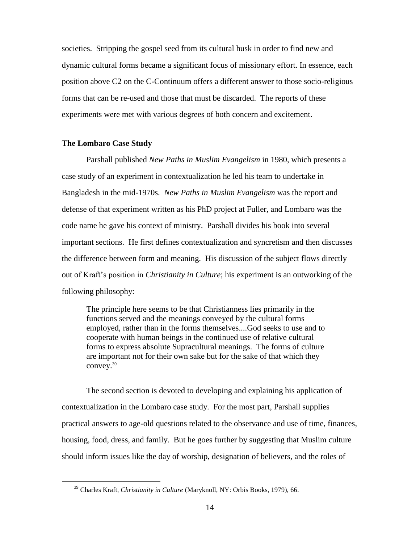societies. Stripping the gospel seed from its cultural husk in order to find new and dynamic cultural forms became a significant focus of missionary effort. In essence, each position above C2 on the C-Continuum offers a different answer to those socio-religious forms that can be re-used and those that must be discarded. The reports of these experiments were met with various degrees of both concern and excitement.

## **The Lombaro Case Study**

 $\overline{a}$ 

Parshall published *New Paths in Muslim Evangelism* in 1980, which presents a case study of an experiment in contextualization he led his team to undertake in Bangladesh in the mid-1970s. *New Paths in Muslim Evangelism* was the report and defense of that experiment written as his PhD project at Fuller, and Lombaro was the code name he gave his context of ministry. Parshall divides his book into several important sections. He first defines contextualization and syncretism and then discusses the difference between form and meaning. His discussion of the subject flows directly out of Kraft's position in *Christianity in Culture*; his experiment is an outworking of the following philosophy:

The principle here seems to be that Christianness lies primarily in the functions served and the meanings conveyed by the cultural forms employed, rather than in the forms themselves....God seeks to use and to cooperate with human beings in the continued use of relative cultural forms to express absolute Supracultural meanings. The forms of culture are important not for their own sake but for the sake of that which they convey.<sup>39</sup>

The second section is devoted to developing and explaining his application of contextualization in the Lombaro case study. For the most part, Parshall supplies practical answers to age-old questions related to the observance and use of time, finances, housing, food, dress, and family. But he goes further by suggesting that Muslim culture should inform issues like the day of worship, designation of believers, and the roles of

<sup>39</sup> Charles Kraft, *Christianity in Culture* (Maryknoll, NY: Orbis Books, 1979), 66.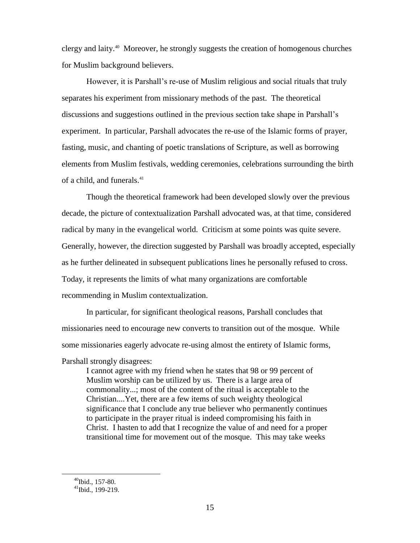clergy and laity.<sup>40</sup> Moreover, he strongly suggests the creation of homogenous churches for Muslim background believers.

However, it is Parshall's re-use of Muslim religious and social rituals that truly separates his experiment from missionary methods of the past. The theoretical discussions and suggestions outlined in the previous section take shape in Parshall's experiment. In particular, Parshall advocates the re-use of the Islamic forms of prayer, fasting, music, and chanting of poetic translations of Scripture, as well as borrowing elements from Muslim festivals, wedding ceremonies, celebrations surrounding the birth of a child, and funerals.<sup>41</sup>

Though the theoretical framework had been developed slowly over the previous decade, the picture of contextualization Parshall advocated was, at that time, considered radical by many in the evangelical world. Criticism at some points was quite severe. Generally, however, the direction suggested by Parshall was broadly accepted, especially as he further delineated in subsequent publications lines he personally refused to cross. Today, it represents the limits of what many organizations are comfortable recommending in Muslim contextualization.

In particular, for significant theological reasons, Parshall concludes that missionaries need to encourage new converts to transition out of the mosque. While some missionaries eagerly advocate re-using almost the entirety of Islamic forms,

Parshall strongly disagrees:

I cannot agree with my friend when he states that 98 or 99 percent of Muslim worship can be utilized by us. There is a large area of commonality...; most of the content of the ritual is acceptable to the Christian....Yet, there are a few items of such weighty theological significance that I conclude any true believer who permanently continues to participate in the prayer ritual is indeed compromising his faith in Christ. I hasten to add that I recognize the value of and need for a proper transitional time for movement out of the mosque. This may take weeks

 $^{40}$ Ibid., 157-80.

 $^{41}$ Ibid., 199-219.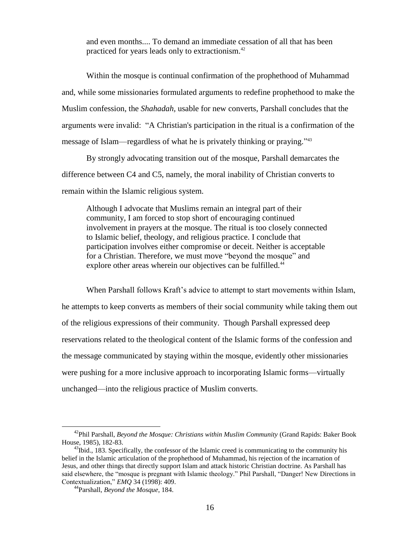and even months.... To demand an immediate cessation of all that has been practiced for years leads only to extractionism.<sup>42</sup>

Within the mosque is continual confirmation of the prophethood of Muhammad and, while some missionaries formulated arguments to redefine prophethood to make the Muslim confession, the *Shahadah,* usable for new converts, Parshall concludes that the arguments were invalid: "A Christian's participation in the ritual is a confirmation of the message of Islam—regardless of what he is privately thinking or praying." 43

By strongly advocating transition out of the mosque, Parshall demarcates the difference between C4 and C5, namely, the moral inability of Christian converts to remain within the Islamic religious system.

Although I advocate that Muslims remain an integral part of their community, I am forced to stop short of encouraging continued involvement in prayers at the mosque. The ritual is too closely connected to Islamic belief, theology, and religious practice. I conclude that participation involves either compromise or deceit. Neither is acceptable for a Christian. Therefore, we must move "beyond the mosque" and explore other areas wherein our objectives can be fulfilled.<sup>44</sup>

When Parshall follows Kraft's advice to attempt to start movements within Islam, he attempts to keep converts as members of their social community while taking them out of the religious expressions of their community. Though Parshall expressed deep reservations related to the theological content of the Islamic forms of the confession and the message communicated by staying within the mosque, evidently other missionaries were pushing for a more inclusive approach to incorporating Islamic forms—virtually unchanged—into the religious practice of Muslim converts.

<sup>42</sup>Phil Parshall, *Beyond the Mosque: Christians within Muslim Community* (Grand Rapids: Baker Book House, 1985), 182-83.

 $^{43}$ Ibid., 183. Specifically, the confessor of the Islamic creed is communicating to the community his belief in the Islamic articulation of the prophethood of Muhammad, his rejection of the incarnation of Jesus, and other things that directly support Islam and attack historic Christian doctrine. As Parshall has said elsewhere, the "mosque is pregnant with Islamic theology." Phil Parshall, "Danger! New Directions in Contextualization," *EMQ* 34 (1998): 409.

<sup>44</sup>Parshall, *Beyond the Mosque*, 184.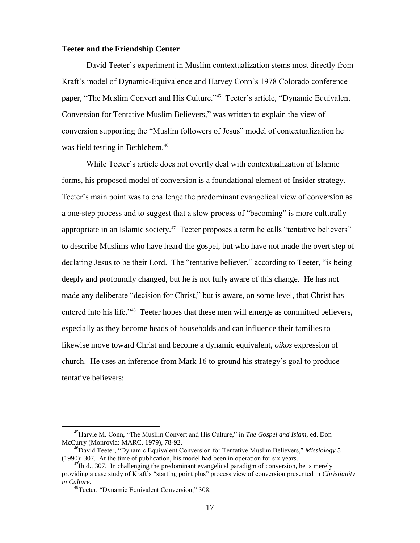#### **Teeter and the Friendship Center**

David Teeter's experiment in Muslim contextualization stems most directly from Kraft's model of Dynamic-Equivalence and Harvey Conn's 1978 Colorado conference paper, "The Muslim Convert and His Culture."<sup>45</sup> Teeter's article, "Dynamic Equivalent Conversion for Tentative Muslim Believers," was written to explain the view of conversion supporting the "Muslim followers of Jesus" model of contextualization he was field testing in Bethlehem.<sup>46</sup>

While Teeter's article does not overtly deal with contextualization of Islamic forms, his proposed model of conversion is a foundational element of Insider strategy. Teeter's main point was to challenge the predominant evangelical view of conversion as a one-step process and to suggest that a slow process of "becoming" is more culturally appropriate in an Islamic society.<sup>47</sup> Teeter proposes a term he calls "tentative believers" to describe Muslims who have heard the gospel, but who have not made the overt step of declaring Jesus to be their Lord. The "tentative believer," according to Teeter, "is being deeply and profoundly changed, but he is not fully aware of this change. He has not made any deliberate "decision for Christ," but is aware, on some level, that Christ has entered into his life."<sup>48</sup> Teeter hopes that these men will emerge as committed believers, especially as they become heads of households and can influence their families to likewise move toward Christ and become a dynamic equivalent, *oikos* expression of church. He uses an inference from Mark 16 to ground his strategy's goal to produce tentative believers:

<sup>45</sup>Harvie M. Conn, "The Muslim Convert and His Culture," in *The Gospel and Islam,* ed. Don McCurry (Monrovia: MARC, 1979), 78-92.

<sup>46</sup>David Teeter, "Dynamic Equivalent Conversion for Tentative Muslim Believers," *Missiology* 5 (1990): 307. At the time of publication, his model had been in operation for six years.

 $^{47}$ Ibid., 307. In challenging the predominant evangelical paradigm of conversion, he is merely providing a case study of Kraft's "starting point plus" process view of conversion presented in *Christianity in Culture.* 

<sup>&</sup>lt;sup>48</sup>Teeter, "Dynamic Equivalent Conversion," 308.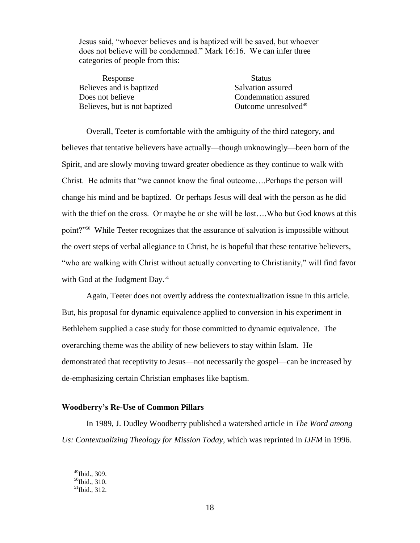Jesus said, "whoever believes and is baptized will be saved, but whoever does not believe will be condemned." Mark 16:16. We can infer three categories of people from this:

Response Status Believes and is baptized Salvation assured Does not believe Condemnation assured Believes, but is not baptized Outcome unresolved $49$ 

Overall, Teeter is comfortable with the ambiguity of the third category, and believes that tentative believers have actually—though unknowingly—been born of the Spirit, and are slowly moving toward greater obedience as they continue to walk with Christ. He admits that "we cannot know the final outcome….Perhaps the person will change his mind and be baptized. Or perhaps Jesus will deal with the person as he did with the thief on the cross. Or maybe he or she will be lost....Who but God knows at this point?"<sup>50</sup> While Teeter recognizes that the assurance of salvation is impossible without the overt steps of verbal allegiance to Christ, he is hopeful that these tentative believers, "who are walking with Christ without actually converting to Christianity," will find favor with God at the Judgment Day.<sup>51</sup>

Again, Teeter does not overtly address the contextualization issue in this article. But, his proposal for dynamic equivalence applied to conversion in his experiment in Bethlehem supplied a case study for those committed to dynamic equivalence. The overarching theme was the ability of new believers to stay within Islam. He demonstrated that receptivity to Jesus—not necessarily the gospel—can be increased by de-emphasizing certain Christian emphases like baptism.

## **Woodberry's Re-Use of Common Pillars**

In 1989, J. Dudley Woodberry published a watershed article in *The Word among Us: Contextualizing Theology for Mission Today*, which was reprinted in *IJFM* in 1996.

 $^{49}$ Ibid., 309.

 $^{50}$ Ibid., 310.

 $51$ Ibid., 312.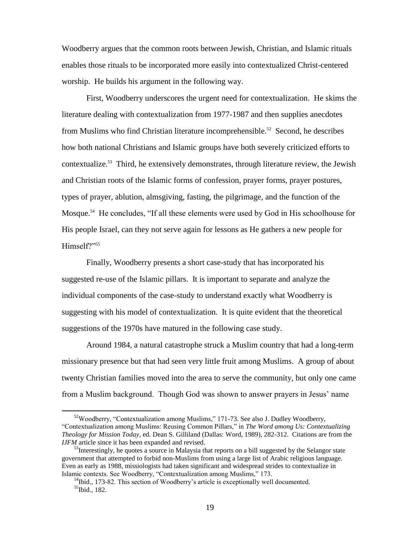Woodberry argues that the common roots between Jewish, Christian, and Islamic rituals enables those rituals to be incorporated more easily into contextualized Christ-centered worship. He builds his argument in the following way.

First, Woodberry underscores the urgent need for contextualization. He skims the literature dealing with contextualization from 1977-1987 and then supplies anecdotes from Muslims who find Christian literature incomprehensible.<sup>52</sup> Second, he describes how both national Christians and Islamic groups have both severely criticized efforts to contextualize.<sup>53</sup> Third, he extensively demonstrates, through literature review, the Jewish and Christian roots of the Islamic forms of confession, prayer forms, prayer postures, types of prayer, ablution, almsgiving, fasting, the pilgrimage, and the function of the Mosque.<sup>54</sup> He concludes, "If all these elements were used by God in His schoolhouse for His people Israel, can they not serve again for lessons as He gathers a new people for Himself?"<sup>55</sup>

Finally, Woodberry presents a short case-study that has incorporated his suggested re-use of the Islamic pillars. It is important to separate and analyze the individual components of the case-study to understand exactly what Woodberry is suggesting with his model of contextualization. It is quite evident that the theoretical suggestions of the 1970s have matured in the following case study.

Around 1984, a natural catastrophe struck a Muslim country that had a long-term missionary presence but that had seen very little fruit among Muslims. A group of about twenty Christian families moved into the area to serve the community, but only one came from a Muslim background. Though God was shown to answer prayers in Jesus' name

<sup>&</sup>lt;sup>52</sup>Woodberry, "Contextualization among Muslims," 171-73. See also J. Dudley Woodberry, "Contextualization among Muslims: Reusing Common Pillars," in *The Word among Us: Contextualizing Theology for Mission Today*, ed. Dean S. Gilliland (Dallas: Word, 1989), 282-312. Citations are from the *IJFM* article since it has been expanded and revised.

 $53$ Interestingly, he quotes a source in Malaysia that reports on a bill suggested by the Selangor state government that attempted to forbid non-Muslims from using a large list of Arabic religious language. Even as early as 1988, missiologists had taken significant and widespread strides to contextualize in Islamic contexts. See Woodberry, "Contextualization among Muslims," 173.

 $<sup>54</sup>$ Ibid., 173-82. This section of Woodberry's article is exceptionally well documented.</sup> <sup>55</sup>Ibid., 182.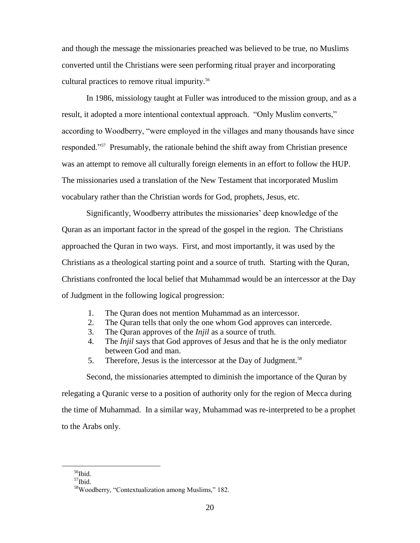and though the message the missionaries preached was believed to be true, no Muslims converted until the Christians were seen performing ritual prayer and incorporating cultural practices to remove ritual impurity.<sup>56</sup>

In 1986, missiology taught at Fuller was introduced to the mission group, and as a result, it adopted a more intentional contextual approach. "Only Muslim converts," according to Woodberry, "were employed in the villages and many thousands have since responded."<sup>57</sup> Presumably, the rationale behind the shift away from Christian presence was an attempt to remove all culturally foreign elements in an effort to follow the HUP. The missionaries used a translation of the New Testament that incorporated Muslim vocabulary rather than the Christian words for God, prophets, Jesus, etc.

Significantly, Woodberry attributes the missionaries' deep knowledge of the Quran as an important factor in the spread of the gospel in the region. The Christians approached the Quran in two ways. First, and most importantly, it was used by the Christians as a theological starting point and a source of truth. Starting with the Quran, Christians confronted the local belief that Muhammad would be an intercessor at the Day of Judgment in the following logical progression:

- 1. The Quran does not mention Muhammad as an intercessor.
- 2. The Quran tells that only the one whom God approves can intercede.
- 3. The Quran approves of the *Injil* as a source of truth.
- 4. The *Injil* says that God approves of Jesus and that he is the only mediator between God and man.
- 5. Therefore, Jesus is the intercessor at the Day of Judgment.<sup>58</sup>

Second, the missionaries attempted to diminish the importance of the Quran by relegating a Quranic verse to a position of authority only for the region of Mecca during the time of Muhammad. In a similar way, Muhammad was re-interpreted to be a prophet to the Arabs only.

<sup>&</sup>lt;sup>56</sup>Ibid.

 $57$ Ibid.

<sup>58</sup>Woodberry, "Contextualization among Muslims," 182.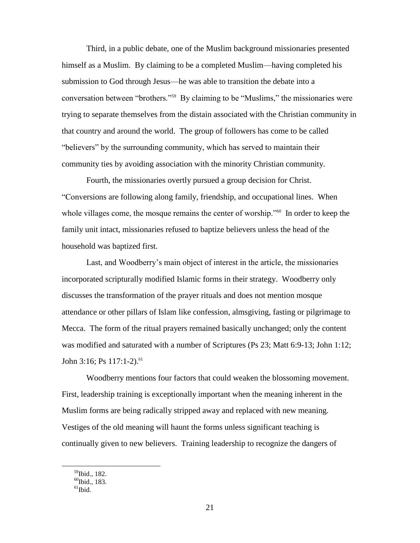Third, in a public debate, one of the Muslim background missionaries presented himself as a Muslim. By claiming to be a completed Muslim—having completed his submission to God through Jesus—he was able to transition the debate into a conversation between "brothers."<sup>59</sup> By claiming to be "Muslims," the missionaries were trying to separate themselves from the distain associated with the Christian community in that country and around the world. The group of followers has come to be called "believers" by the surrounding community, which has served to maintain their community ties by avoiding association with the minority Christian community.

Fourth, the missionaries overtly pursued a group decision for Christ. "Conversions are following along family, friendship, and occupational lines. When whole villages come, the mosque remains the center of worship."<sup>60</sup> In order to keep the family unit intact, missionaries refused to baptize believers unless the head of the household was baptized first.

Last, and Woodberry's main object of interest in the article, the missionaries incorporated scripturally modified Islamic forms in their strategy. Woodberry only discusses the transformation of the prayer rituals and does not mention mosque attendance or other pillars of Islam like confession, almsgiving, fasting or pilgrimage to Mecca. The form of the ritual prayers remained basically unchanged; only the content was modified and saturated with a number of Scriptures (Ps 23; Matt 6:9-13; John 1:12; John 3:16; Ps  $117:1-2$ ).<sup>61</sup>

Woodberry mentions four factors that could weaken the blossoming movement. First, leadership training is exceptionally important when the meaning inherent in the Muslim forms are being radically stripped away and replaced with new meaning. Vestiges of the old meaning will haunt the forms unless significant teaching is continually given to new believers. Training leadership to recognize the dangers of

<sup>&</sup>lt;sup>59</sup>Ibid., 182.

 $60$ Ibid., 183.

 $<sup>61</sup>$ Ibid.</sup>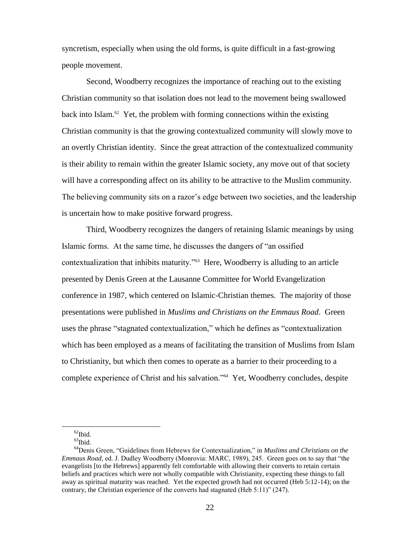syncretism, especially when using the old forms, is quite difficult in a fast-growing people movement.

Second, Woodberry recognizes the importance of reaching out to the existing Christian community so that isolation does not lead to the movement being swallowed back into Islam.<sup>62</sup> Yet, the problem with forming connections within the existing Christian community is that the growing contextualized community will slowly move to an overtly Christian identity. Since the great attraction of the contextualized community is their ability to remain within the greater Islamic society, any move out of that society will have a corresponding affect on its ability to be attractive to the Muslim community. The believing community sits on a razor's edge between two societies, and the leadership is uncertain how to make positive forward progress.

Third, Woodberry recognizes the dangers of retaining Islamic meanings by using Islamic forms. At the same time, he discusses the dangers of "an ossified contextualization that inhibits maturity."<sup>63</sup> Here, Woodberry is alluding to an article presented by Denis Green at the Lausanne Committee for World Evangelization conference in 1987, which centered on Islamic-Christian themes. The majority of those presentations were published in *Muslims and Christians on the Emmaus Road*. Green uses the phrase "stagnated contextualization," which he defines as "contextualization which has been employed as a means of facilitating the transition of Muslims from Islam to Christianity, but which then comes to operate as a barrier to their proceeding to a complete experience of Christ and his salvation."<sup>64</sup> Yet, Woodberry concludes, despite

 $62$ Ibid.

 $^{63}$ Ibid.

<sup>64</sup>Denis Green, "Guidelines from Hebrews for Contextualization," in *Muslims and Christians on the Emmaus Road*, ed. J. Dudley Woodberry (Monrovia: MARC, 1989), 245. Green goes on to say that "the evangelists [to the Hebrews] apparently felt comfortable with allowing their converts to retain certain beliefs and practices which were not wholly compatible with Christianity, expecting these things to fall away as spiritual maturity was reached. Yet the expected growth had not occurred (Heb 5:12-14); on the contrary, the Christian experience of the converts had stagnated (Heb 5:11)" (247).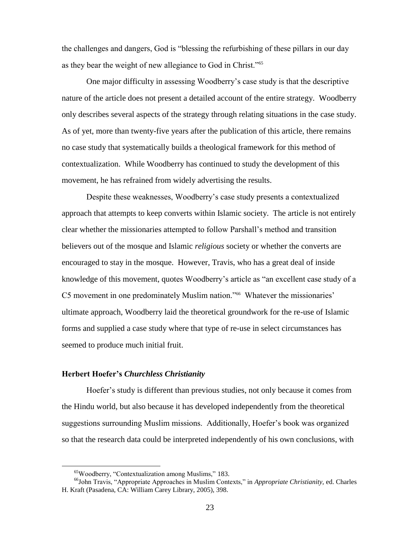the challenges and dangers, God is "blessing the refurbishing of these pillars in our day as they bear the weight of new allegiance to God in Christ."<sup>65</sup>

One major difficulty in assessing Woodberry's case study is that the descriptive nature of the article does not present a detailed account of the entire strategy. Woodberry only describes several aspects of the strategy through relating situations in the case study. As of yet, more than twenty-five years after the publication of this article, there remains no case study that systematically builds a theological framework for this method of contextualization. While Woodberry has continued to study the development of this movement, he has refrained from widely advertising the results.

Despite these weaknesses, Woodberry's case study presents a contextualized approach that attempts to keep converts within Islamic society. The article is not entirely clear whether the missionaries attempted to follow Parshall's method and transition believers out of the mosque and Islamic *religious* society or whether the converts are encouraged to stay in the mosque. However, Travis, who has a great deal of inside knowledge of this movement, quotes Woodberry's article as "an excellent case study of a C5 movement in one predominately Muslim nation."<sup>66</sup> Whatever the missionaries' ultimate approach, Woodberry laid the theoretical groundwork for the re-use of Islamic forms and supplied a case study where that type of re-use in select circumstances has seemed to produce much initial fruit.

## **Herbert Hoefer's** *Churchless Christianity*

 $\overline{a}$ 

Hoefer's study is different than previous studies, not only because it comes from the Hindu world, but also because it has developed independently from the theoretical suggestions surrounding Muslim missions. Additionally, Hoefer's book was organized so that the research data could be interpreted independently of his own conclusions, with

<sup>65</sup>Woodberry, "Contextualization among Muslims," 183.

<sup>66</sup>John Travis, "Appropriate Approaches in Muslim Contexts," in *Appropriate Christianity,* ed. Charles H. Kraft (Pasadena, CA: William Carey Library, 2005), 398.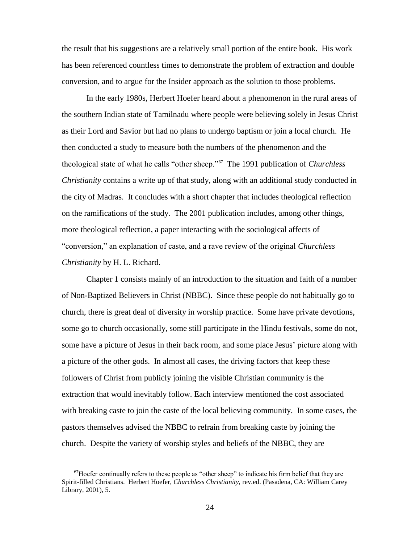the result that his suggestions are a relatively small portion of the entire book. His work has been referenced countless times to demonstrate the problem of extraction and double conversion, and to argue for the Insider approach as the solution to those problems.

In the early 1980s, Herbert Hoefer heard about a phenomenon in the rural areas of the southern Indian state of Tamilnadu where people were believing solely in Jesus Christ as their Lord and Savior but had no plans to undergo baptism or join a local church. He then conducted a study to measure both the numbers of the phenomenon and the theological state of what he calls "other sheep."<sup>67</sup> The 1991 publication of *Churchless Christianity* contains a write up of that study, along with an additional study conducted in the city of Madras. It concludes with a short chapter that includes theological reflection on the ramifications of the study. The 2001 publication includes, among other things, more theological reflection, a paper interacting with the sociological affects of "conversion," an explanation of caste, and a rave review of the original *Churchless Christianity* by H. L. Richard.

Chapter 1 consists mainly of an introduction to the situation and faith of a number of Non-Baptized Believers in Christ (NBBC). Since these people do not habitually go to church, there is great deal of diversity in worship practice. Some have private devotions, some go to church occasionally, some still participate in the Hindu festivals, some do not, some have a picture of Jesus in their back room, and some place Jesus' picture along with a picture of the other gods. In almost all cases, the driving factors that keep these followers of Christ from publicly joining the visible Christian community is the extraction that would inevitably follow. Each interview mentioned the cost associated with breaking caste to join the caste of the local believing community. In some cases, the pastors themselves advised the NBBC to refrain from breaking caste by joining the church. Despite the variety of worship styles and beliefs of the NBBC, they are

 $<sup>67</sup>$ Hoefer continually refers to these people as "other sheep" to indicate his firm belief that they are</sup> Spirit-filled Christians. Herbert Hoefer, *Churchless Christianity,* rev*.*ed. (Pasadena, CA: William Carey Library, 2001), 5.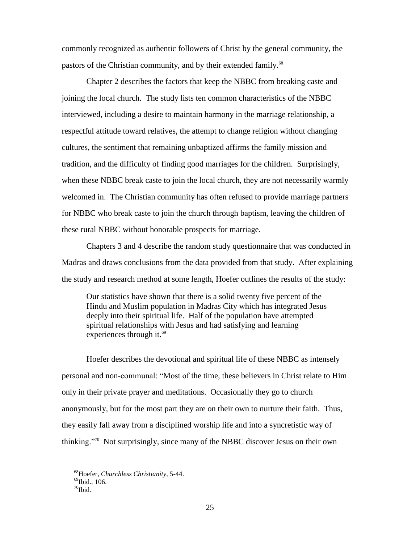commonly recognized as authentic followers of Christ by the general community, the pastors of the Christian community, and by their extended family.<sup>68</sup>

Chapter 2 describes the factors that keep the NBBC from breaking caste and joining the local church. The study lists ten common characteristics of the NBBC interviewed, including a desire to maintain harmony in the marriage relationship, a respectful attitude toward relatives, the attempt to change religion without changing cultures, the sentiment that remaining unbaptized affirms the family mission and tradition, and the difficulty of finding good marriages for the children. Surprisingly, when these NBBC break caste to join the local church, they are not necessarily warmly welcomed in. The Christian community has often refused to provide marriage partners for NBBC who break caste to join the church through baptism, leaving the children of these rural NBBC without honorable prospects for marriage.

Chapters 3 and 4 describe the random study questionnaire that was conducted in Madras and draws conclusions from the data provided from that study. After explaining the study and research method at some length, Hoefer outlines the results of the study:

Our statistics have shown that there is a solid twenty five percent of the Hindu and Muslim population in Madras City which has integrated Jesus deeply into their spiritual life. Half of the population have attempted spiritual relationships with Jesus and had satisfying and learning experiences through it. $^{69}$ 

Hoefer describes the devotional and spiritual life of these NBBC as intensely personal and non-communal: "Most of the time, these believers in Christ relate to Him only in their private prayer and meditations. Occasionally they go to church anonymously, but for the most part they are on their own to nurture their faith. Thus, they easily fall away from a disciplined worship life and into a syncretistic way of thinking."<sup>70</sup> Not surprisingly, since many of the NBBC discover Jesus on their own

<sup>68</sup>Hoefer, *Churchless Christianity,* 5-44.

 $^{69}$ Ibid., 106.

 $70$ Ibid.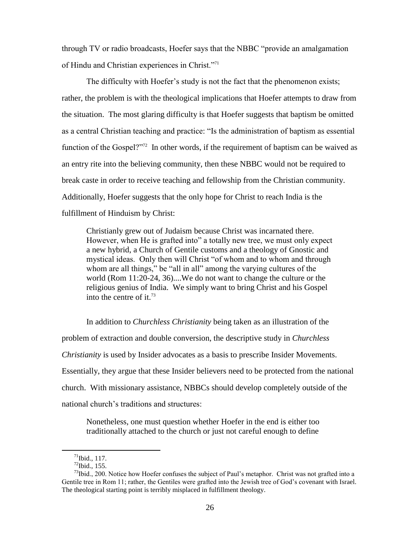through TV or radio broadcasts, Hoefer says that the NBBC "provide an amalgamation of Hindu and Christian experiences in Christ."<sup>71</sup>

The difficulty with Hoefer's study is not the fact that the phenomenon exists; rather, the problem is with the theological implications that Hoefer attempts to draw from the situation. The most glaring difficulty is that Hoefer suggests that baptism be omitted as a central Christian teaching and practice: "Is the administration of baptism as essential function of the Gospel?"<sup>72</sup> In other words, if the requirement of baptism can be waived as an entry rite into the believing community, then these NBBC would not be required to break caste in order to receive teaching and fellowship from the Christian community. Additionally, Hoefer suggests that the only hope for Christ to reach India is the fulfillment of Hinduism by Christ:

Christianly grew out of Judaism because Christ was incarnated there. However, when He is grafted into" a totally new tree, we must only expect a new hybrid, a Church of Gentile customs and a theology of Gnostic and mystical ideas. Only then will Christ "of whom and to whom and through whom are all things," be "all in all" among the varying cultures of the world (Rom 11:20-24, 36)....We do not want to change the culture or the religious genius of India. We simply want to bring Christ and his Gospel into the centre of it.<sup>73</sup>

In addition to *Churchless Christianity* being taken as an illustration of the problem of extraction and double conversion, the descriptive study in *Churchless Christianity* is used by Insider advocates as a basis to prescribe Insider Movements. Essentially, they argue that these Insider believers need to be protected from the national church. With missionary assistance, NBBCs should develop completely outside of the national church's traditions and structures:

Nonetheless, one must question whether Hoefer in the end is either too traditionally attached to the church or just not careful enough to define

 $71$ Ibid., 117.

 $^{72}$ Ibid., 155.

 $^{73}$ Ibid., 200. Notice how Hoefer confuses the subject of Paul's metaphor. Christ was not grafted into a Gentile tree in Rom 11; rather, the Gentiles were grafted into the Jewish tree of God's covenant with Israel. The theological starting point is terribly misplaced in fulfillment theology.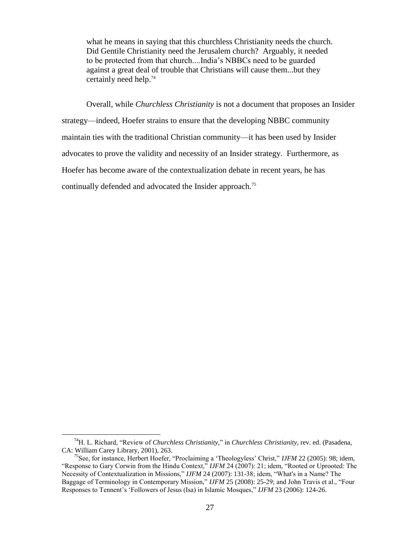what he means in saying that this churchless Christianity needs the church. Did Gentile Christianity need the Jerusalem church? Arguably, it needed to be protected from that church....India's NBBCs need to be guarded against a great deal of trouble that Christians will cause them...but they certainly need help.<sup>74</sup>

Overall, while *Churchless Christianity* is not a document that proposes an Insider strategy—indeed, Hoefer strains to ensure that the developing NBBC community maintain ties with the traditional Christian community—it has been used by Insider advocates to prove the validity and necessity of an Insider strategy. Furthermore, as Hoefer has become aware of the contextualization debate in recent years, he has continually defended and advocated the Insider approach.<sup>75</sup>

<sup>74</sup>H. L. Richard, "Review of *Churchless Christianity,*" in *Churchless Christianity,* rev*.* ed. (Pasadena, CA: William Carey Library, 2001), 263.

<sup>75</sup>See, for instance, Herbert Hoefer, "Proclaiming a 'Theologyless' Christ," *IJFM* 22 (2005): 98; idem, "Response to Gary Corwin from the Hindu Context," *IJFM* 24 (2007): 21; idem, "Rooted or Uprooted: The Necessity of Contextualization in Missions," *IJFM* 24 (2007): 131-38; idem, "What's in a Name? The Baggage of Terminology in Contemporary Mission," *IJFM* 25 (2008): 25-29; and John Travis et al., "Four Responses to Tennent's 'Followers of Jesus (Isa) in Islamic Mosques," *IJFM* 23 (2006): 124-26.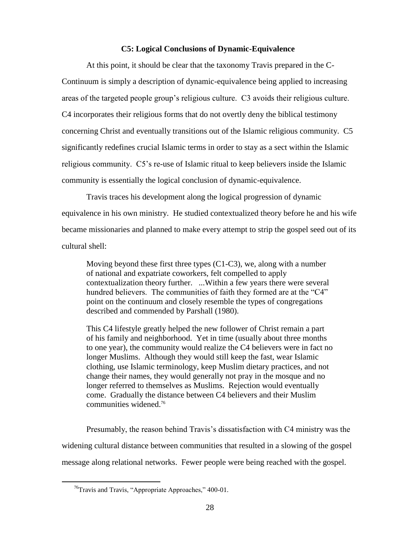## **C5: Logical Conclusions of Dynamic-Equivalence**

At this point, it should be clear that the taxonomy Travis prepared in the C-Continuum is simply a description of dynamic-equivalence being applied to increasing areas of the targeted people group's religious culture. C3 avoids their religious culture. C4 incorporates their religious forms that do not overtly deny the biblical testimony concerning Christ and eventually transitions out of the Islamic religious community. C5 significantly redefines crucial Islamic terms in order to stay as a sect within the Islamic religious community. C5's re-use of Islamic ritual to keep believers inside the Islamic community is essentially the logical conclusion of dynamic-equivalence.

Travis traces his development along the logical progression of dynamic equivalence in his own ministry. He studied contextualized theory before he and his wife became missionaries and planned to make every attempt to strip the gospel seed out of its cultural shell:

Moving beyond these first three types (C1-C3), we, along with a number of national and expatriate coworkers, felt compelled to apply contextualization theory further. ...Within a few years there were several hundred believers. The communities of faith they formed are at the "C4" point on the continuum and closely resemble the types of congregations described and commended by Parshall (1980).

This C4 lifestyle greatly helped the new follower of Christ remain a part of his family and neighborhood. Yet in time (usually about three months to one year), the community would realize the C4 believers were in fact no longer Muslims. Although they would still keep the fast, wear Islamic clothing, use Islamic terminology, keep Muslim dietary practices, and not change their names, they would generally not pray in the mosque and no longer referred to themselves as Muslims. Rejection would eventually come. Gradually the distance between C4 believers and their Muslim communities widened.<sup>76</sup>

Presumably, the reason behind Travis's dissatisfaction with C4 ministry was the widening cultural distance between communities that resulted in a slowing of the gospel message along relational networks. Fewer people were being reached with the gospel.

 $76$ Travis and Travis, "Appropriate Approaches," 400-01.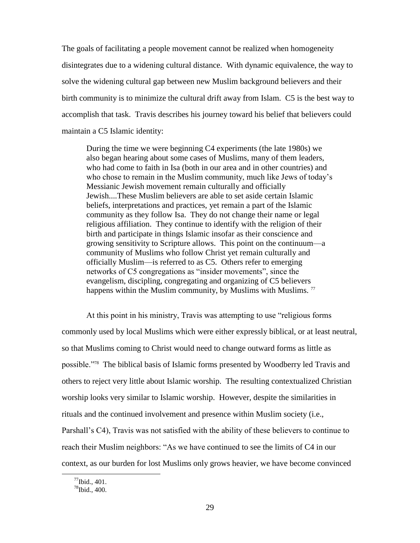The goals of facilitating a people movement cannot be realized when homogeneity disintegrates due to a widening cultural distance. With dynamic equivalence, the way to solve the widening cultural gap between new Muslim background believers and their birth community is to minimize the cultural drift away from Islam. C5 is the best way to accomplish that task. Travis describes his journey toward his belief that believers could maintain a C5 Islamic identity:

During the time we were beginning C4 experiments (the late 1980s) we also began hearing about some cases of Muslims, many of them leaders, who had come to faith in Isa (both in our area and in other countries) and who chose to remain in the Muslim community, much like Jews of today's Messianic Jewish movement remain culturally and officially Jewish....These Muslim believers are able to set aside certain Islamic beliefs, interpretations and practices, yet remain a part of the Islamic community as they follow Isa. They do not change their name or legal religious affiliation. They continue to identify with the religion of their birth and participate in things Islamic insofar as their conscience and growing sensitivity to Scripture allows. This point on the continuum—a community of Muslims who follow Christ yet remain culturally and officially Muslim—is referred to as C5. Others refer to emerging networks of C5 congregations as "insider movements", since the evangelism, discipling, congregating and organizing of C5 believers happens within the Muslim community, by Muslims with Muslims.<sup>77</sup>

At this point in his ministry, Travis was attempting to use "religious forms commonly used by local Muslims which were either expressly biblical, or at least neutral, so that Muslims coming to Christ would need to change outward forms as little as possible."<sup>78</sup> The biblical basis of Islamic forms presented by Woodberry led Travis and others to reject very little about Islamic worship. The resulting contextualized Christian worship looks very similar to Islamic worship. However, despite the similarities in rituals and the continued involvement and presence within Muslim society (i.e., Parshall's C4), Travis was not satisfied with the ability of these believers to continue to reach their Muslim neighbors: "As we have continued to see the limits of C4 in our context, as our burden for lost Muslims only grows heavier, we have become convinced

 $^{77}$ Ibid., 401.

 $^{78}$ Ibid., 400.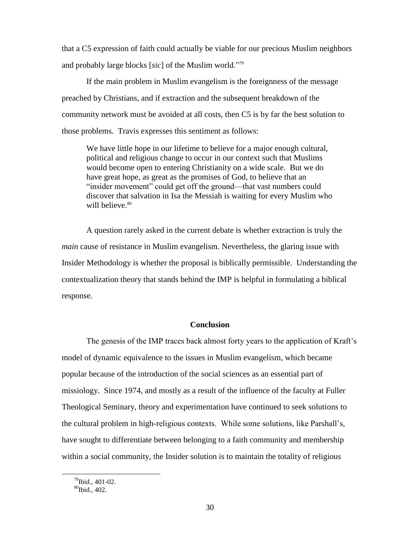that a C5 expression of faith could actually be viable for our precious Muslim neighbors and probably large blocks [*sic*] of the Muslim world."<sup>79</sup>

If the main problem in Muslim evangelism is the foreignness of the message preached by Christians, and if extraction and the subsequent breakdown of the community network must be avoided at all costs, then C5 is by far the best solution to those problems. Travis expresses this sentiment as follows:

We have little hope in our lifetime to believe for a major enough cultural, political and religious change to occur in our context such that Muslims would become open to entering Christianity on a wide scale. But we do have great hope, as great as the promises of God, to believe that an "insider movement" could get off the ground—that vast numbers could discover that salvation in Isa the Messiah is waiting for every Muslim who will believe.<sup>80</sup>

A question rarely asked in the current debate is whether extraction is truly the *main* cause of resistance in Muslim evangelism. Nevertheless, the glaring issue with Insider Methodology is whether the proposal is biblically permissible. Understanding the contextualization theory that stands behind the IMP is helpful in formulating a biblical response.

## **Conclusion**

The genesis of the IMP traces back almost forty years to the application of Kraft's model of dynamic equivalence to the issues in Muslim evangelism, which became popular because of the introduction of the social sciences as an essential part of missiology. Since 1974, and mostly as a result of the influence of the faculty at Fuller Theological Seminary, theory and experimentation have continued to seek solutions to the cultural problem in high-religious contexts. While some solutions, like Parshall's, have sought to differentiate between belonging to a faith community and membership within a social community, the Insider solution is to maintain the totality of religious

 $^{79}$ Ibid., 401-02.

 ${}^{80}$ Ibid., 402.